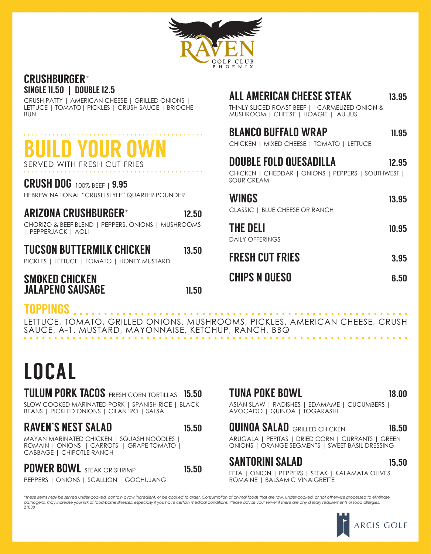

#### CRUSHBURGER\* SINGLE 11.50 **|** DOUBLE 12.5

CRUSH PATTY | AMERICAN CHEESE | GRILLED ONIONS | LETTUCE | TOMATO| PICKLES | CRUSH SAUCE | BRIOCHE BUN

## BUILD YOUR OWN SERVED WITH FRESH CUT FRIES

#### CRUSH DOG 100% BEEF**<sup>|</sup>**9.95

HEBREW NATIONAL "CRUSH STYLE" QUARTER POUNDER

### ARIZONA CRUSHBURGER\* 12.50

CHORIZO & BEEF BLEND | PEPPERS, ONIONS | MUSHROOMS | PEPPERJACK | AOLI

### TUCSON BUTTERMILK CHICKEN 13.50

PICKLES | LETTUCE | TOMATO | HONEY MUSTARD

#### SMOKED CHICKEN JALAPENO SAUSAGE 11.50

#### TOPPINGS

LETTUCE, TOMATO, GRILLED ONIONS, MUSHROOMS, PICKLES, AMERICAN CHEESE, CRUSH SAUCE, A-1, MUSTARD, MAYONNAISE, KETCHUP, RANCH, BBQ

# LOCAL

#### TULUM PORK TACOS FRESH CORN TORTILLAS 15.50

SLOW COOKED MARINATED PORK | SPANISH RICE | BLACK BEANS | PICKLED ONIONS | CILANTRO | SALSA

#### RAVEN'S NEST SALAD 15.50

MAYAN MARINATED CHICKEN | SQUASH NOODLES | ROMAIN | ONIONS | CARROTS | GRAPE TOMATO | CABBAGE | CHIPOTLE RANCH

POWER BOWL STEAK OR SHRIMP 15.50

PEPPERS | ONIONS | SCALLION | GOCHUJANG

### ALL AMERICAN CHEESE STEAK 13.95

THINLY SLICED ROAST BEEF | CARMELIZED ONION & MUSHROOM | CHEESE | HOAGIE | AU JUS

### BLANCO BUFFALO WRAP 11.95

CHICKEN | MIXED CHEESE | TOMATO | LETTUCE

| <b>DOUBLE FOLD QUESADILLA</b><br>CHICKEN   CHEDDAR   ONIONS   PEPPERS   SOUTHWEST  <br><b>SOUR CREAM</b> | 12.95 |
|----------------------------------------------------------------------------------------------------------|-------|
| <b>WINGS</b><br>CLASSIC   BLUE CHEESE OR RANCH                                                           | 13.95 |
| <b>THE DELI</b><br><b>DAILY OFFERINGS</b>                                                                | 10.95 |
| <b>FRESH CUT FRIES</b>                                                                                   | 3.95  |
| <b>CHIPS N QUESO</b>                                                                                     | 6.50  |

#### TUNA POKE BOWL 18.00

ASIAN SLAW | RADISHES | EDAMAME | CUCUMBERS | AVOCADO | QUINOA | TOGARASHI

#### **QUINOA SALAD GRILLED CHICKEN** 16.50

ARUGALA | PEPITAS | DRIED CORN | CURRANTS | GREEN ONIONS | ORANGE SEGMENTS | SWEET BASIL DRESSING

#### SANTORINI SALAD 15.50

FETA | ONION | PEPPERS | STEAK | KALAMATA OLIVES ROMAINE | BALSAMIC VINAIGRETTE

*\*These items may be served under-cooked, contain a raw ingredient, or be cooked to order. Consumption of animal foods that are raw, under-cooked, or not otherwise processed to eliminate pathogens, may increase your risk of food-borne illnesses, especially if you have certain medical conditions. Please advise your server if there are any dietary requirements or food allergies. 21038*